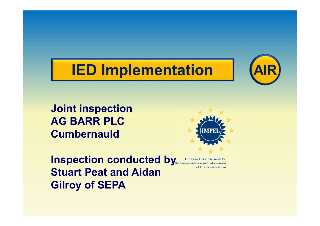# IED Implementation



Joint inspection AG BARR PLC **Cumbernauld** 

**Inspection conducted by European Union Network for** Stuart Peat and Aidan Gilroy of SEPA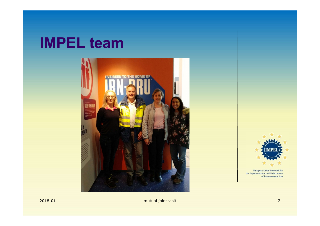### IMPEL team



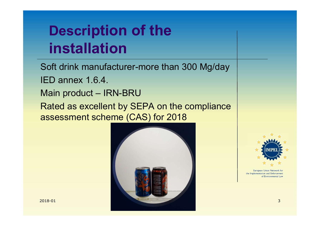# Description of the installation **Description of the<br>
installation**<br>
Soft drink manufacturer-more than 300 Mg/day<br>
IED annex 1.6.4.<br>
Main product – IRN-BRU<br>
Rated as excellent by SEPA on the compliance<br>
assessment scheme (CAS) for 2018

Soft drink manufacturer-more than 300 Mg/day

IED annex 1.6.4.

Rated as excellent by SEPA on the compliance assessment scheme (CAS) for 2018



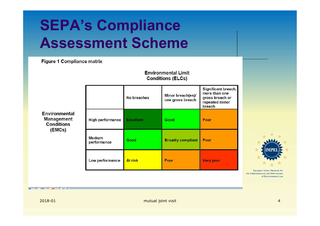## SEPA's Compliance Assessment Scheme

**Figure 1 Compliance matrix** 

**Environmental Limit Conditions (ELCs)** 

| <b>Environmental</b><br><b>Management</b><br><b>Conditions</b><br>(EMCs) |                              | No breaches      | Minor breach(es)/<br>one gross breach | Significant breach,<br>more than one<br>gross breach or<br>repeated minor<br>breach | M/<br><b>IMPEL</b>                                         |  |
|--------------------------------------------------------------------------|------------------------------|------------------|---------------------------------------|-------------------------------------------------------------------------------------|------------------------------------------------------------|--|
|                                                                          | <b>High performance</b>      | <b>Excellent</b> | Good                                  | Poor                                                                                |                                                            |  |
|                                                                          | <b>Medium</b><br>performance | Good             | <b>Broadly compliant</b>              | Poor                                                                                |                                                            |  |
|                                                                          | Low performance              | At risk          | Poor                                  | <b>Very poor</b>                                                                    | European Union Network for                                 |  |
| $\sim$ $\sim$ $\sim$                                                     |                              |                  |                                       |                                                                                     | the Implementation and Enforcement<br>of Environmental Law |  |
| 2018-01                                                                  | mutual joint visit           |                  |                                       |                                                                                     | $\overline{4}$                                             |  |
|                                                                          |                              |                  |                                       |                                                                                     |                                                            |  |
|                                                                          |                              |                  |                                       |                                                                                     |                                                            |  |

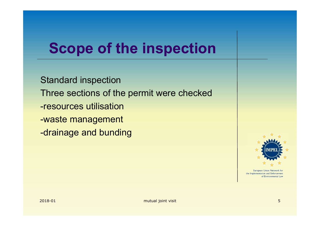## Scope of the inspection

2018-01 mutual joint visit 5 Standard inspection Three sections of the permit were checked -resources utilisation -waste management -drainage and bunding

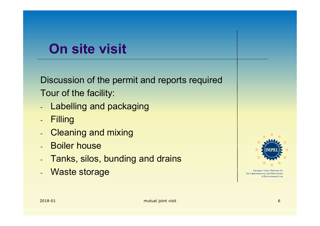## On site visit

Discussion of the permit and reports required Tour of the facility: Discussion of the permit and reports required<br>
Tour of the facility:<br>
- Labelling and packaging<br>
- Filling<br>
- Cleaning and mixing<br>
- Boiler house<br>
- Tanks, silos, bunding and drains<br>
- Waste storage

- Labelling and packaging
- Filling
- Cleaning and mixing
- Boiler house
- 
- 

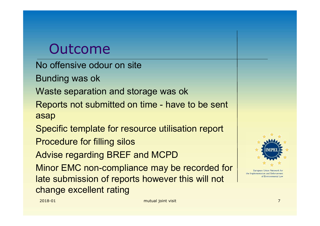### Outcome

No offensive odour on site

**Outcome**<br>
No offensive odour on site<br>
Bunding was ok<br>
Waste separation and storage was ok<br>
Penorts not submitted on time - have to Waste separation and storage was ok

Outcome<br>
No offensive odour on site<br>
Bunding was ok<br>
Waste separation and storage was ok<br>
Reports not submitted on time - have to be sent<br>
asap<br>
Specific template for resource utilisation report asap

Specific template for resource utilisation report

Procedure for filling silos

Advise regarding BREF and MCPD

Reports not submitted on time - have to be sent<br>
sap<br>
Specific template for resource utilisation report<br>
Procedure for filling silos<br>
Now are regarding BREF and MCPD<br>
Minor EMC non-compliance may be recorded for<br>
the submi Minor EMC non-compliance may be recorded for **Independent of the substantive for the COLL A** European Union Network for late submission of reports however this will not change excellent rating

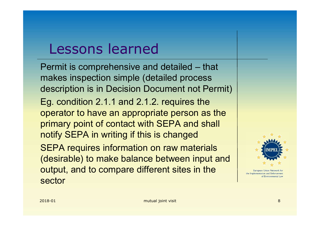## Lessons learned

Eg. condition 2.1.1 and 2.1.2. requires the<br>operator to have an appropriate person as the<br>primary point of contact with SEPA and shall<br>notify SEPA in writing if this is changed<br>SEPA requires information on raw materials<br>( Lessons learned<br>
Permit is comprehensive and detailed – that<br>
makes inspection simple (detailed process<br>
description is in Decision Document not Permit) makes inspection simple (detailed process description is in Decision Document not Permit) Eg. condition 2.1.1 and 2.1.2. requires the operator to have an appropriate person as the primary point of contact with SEPA and shall notify SEPA in writing if this is changed SEPA requires information on raw materials (desirable) to make balance between input and **Output, and to compare different sites in the European Union Network for** sector